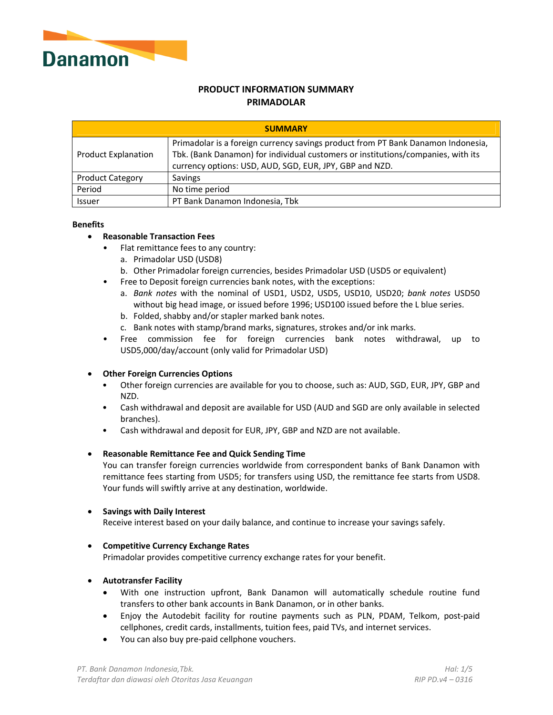

# **PRODUCT INFORMATION SUMMARY PRIMADOLAR**

| <b>SUMMARY</b>             |                                                                                                                                                                                                                                 |  |  |  |
|----------------------------|---------------------------------------------------------------------------------------------------------------------------------------------------------------------------------------------------------------------------------|--|--|--|
| <b>Product Explanation</b> | Primadolar is a foreign currency savings product from PT Bank Danamon Indonesia,<br>Tbk. (Bank Danamon) for individual customers or institutions/companies, with its<br>currency options: USD, AUD, SGD, EUR, JPY, GBP and NZD. |  |  |  |
| <b>Product Category</b>    | Savings                                                                                                                                                                                                                         |  |  |  |
| Period                     | No time period                                                                                                                                                                                                                  |  |  |  |
| Issuer                     | PT Bank Danamon Indonesia, Tbk                                                                                                                                                                                                  |  |  |  |

#### **Benefits**

- **Reasonable Transaction Fees** 
	- Flat remittance fees to any country:
		- a. Primadolar USD (USD8)
		- b. Other Primadolar foreign currencies, besides Primadolar USD (USD5 or equivalent)
	- Free to Deposit foreign currencies bank notes, with the exceptions:
		- a. *Bank notes* with the nominal of USD1, USD2, USD5, USD10, USD20; *bank notes* USD50 without big head image, or issued before 1996; USD100 issued before the L blue series.
		- b. Folded, shabby and/or stapler marked bank notes.
		- c. Bank notes with stamp/brand marks, signatures, strokes and/or ink marks.
	- Free commission fee for foreign currencies bank notes withdrawal, up to USD5,000/day/account (only valid for Primadolar USD)

### • **Other Foreign Currencies Options**

- Other foreign currencies are available for you to choose, such as: AUD, SGD, EUR, JPY, GBP and NZD.
- Cash withdrawal and deposit are available for USD (AUD and SGD are only available in selected branches).
- Cash withdrawal and deposit for EUR, JPY, GBP and NZD are not available.

### • **Reasonable Remittance Fee and Quick Sending Time**

You can transfer foreign currencies worldwide from correspondent banks of Bank Danamon with remittance fees starting from USD5; for transfers using USD, the remittance fee starts from USD8. Your funds will swiftly arrive at any destination, worldwide.

### • **Savings with Daily Interest**

Receive interest based on your daily balance, and continue to increase your savings safely.

## • **Competitive Currency Exchange Rates**

Primadolar provides competitive currency exchange rates for your benefit.

## • **Autotransfer Facility**

- With one instruction upfront, Bank Danamon will automatically schedule routine fund transfers to other bank accounts in Bank Danamon, or in other banks.
- Enjoy the Autodebit facility for routine payments such as PLN, PDAM, Telkom, post-paid cellphones, credit cards, installments, tuition fees, paid TVs, and internet services.
- You can also buy pre-paid cellphone vouchers.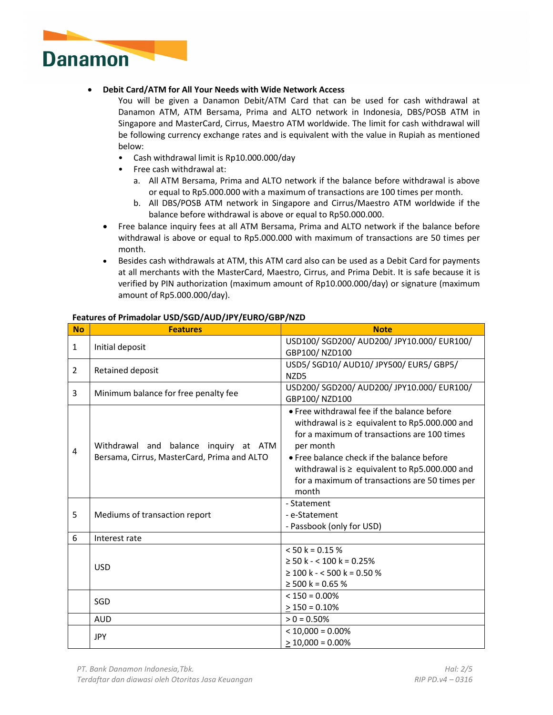

## • **Debit Card/ATM for All Your Needs with Wide Network Access**

You will be given a Danamon Debit/ATM Card that can be used for cash withdrawal at Danamon ATM, ATM Bersama, Prima and ALTO network in Indonesia, DBS/POSB ATM in Singapore and MasterCard, Cirrus, Maestro ATM worldwide. The limit for cash withdrawal will be following currency exchange rates and is equivalent with the value in Rupiah as mentioned below:

- Cash withdrawal limit is Rp10.000.000/day
- Free cash withdrawal at:
	- a. All ATM Bersama, Prima and ALTO network if the balance before withdrawal is above or equal to Rp5.000.000 with a maximum of transactions are 100 times per month.
	- b. All DBS/POSB ATM network in Singapore and Cirrus/Maestro ATM worldwide if the balance before withdrawal is above or equal to Rp50.000.000.
- Free balance inquiry fees at all ATM Bersama, Prima and ALTO network if the balance before withdrawal is above or equal to Rp5.000.000 with maximum of transactions are 50 times per month.
- Besides cash withdrawals at ATM, this ATM card also can be used as a Debit Card for payments at all merchants with the MasterCard, Maestro, Cirrus, and Prima Debit. It is safe because it is verified by PIN authorization (maximum amount of Rp10.000.000/day) or signature (maximum amount of Rp5.000.000/day).

| <b>No</b>      | <b>Features</b>                                                                      | <b>Note</b>                                                                                                                                                                                                                                                                                                                |
|----------------|--------------------------------------------------------------------------------------|----------------------------------------------------------------------------------------------------------------------------------------------------------------------------------------------------------------------------------------------------------------------------------------------------------------------------|
| $\mathbf{1}$   | Initial deposit                                                                      | USD100/ SGD200/ AUD200/ JPY10.000/ EUR100/<br>GBP100/NZD100                                                                                                                                                                                                                                                                |
| $\overline{2}$ | Retained deposit                                                                     | USD5/ SGD10/ AUD10/ JPY500/ EUR5/ GBP5/<br>NZD <sub>5</sub>                                                                                                                                                                                                                                                                |
| 3              | Minimum balance for free penalty fee                                                 | USD200/ SGD200/ AUD200/ JPY10.000/ EUR100/<br>GBP100/NZD100                                                                                                                                                                                                                                                                |
| $\overline{4}$ | Withdrawal and balance inquiry at ATM<br>Bersama, Cirrus, MasterCard, Prima and ALTO | • Free withdrawal fee if the balance before<br>withdrawal is $\ge$ equivalent to Rp5.000.000 and<br>for a maximum of transactions are 100 times<br>per month<br>• Free balance check if the balance before<br>withdrawal is $\ge$ equivalent to Rp5.000.000 and<br>for a maximum of transactions are 50 times per<br>month |
| 5              | Mediums of transaction report                                                        | - Statement<br>- e-Statement<br>- Passbook (only for USD)                                                                                                                                                                                                                                                                  |
| 6              | Interest rate                                                                        |                                                                                                                                                                                                                                                                                                                            |
|                | <b>USD</b>                                                                           | $< 50 k = 0.15 %$<br>$\geq$ 50 k - < 100 k = 0.25%<br>$\geq$ 100 k - < 500 k = 0.50 %<br>$\geq$ 500 k = 0.65 %                                                                                                                                                                                                             |
|                | SGD                                                                                  | $< 150 = 0.00\%$<br>$> 150 = 0.10\%$                                                                                                                                                                                                                                                                                       |
|                | <b>AUD</b>                                                                           | $> 0 = 0.50\%$                                                                                                                                                                                                                                                                                                             |
|                | <b>JPY</b>                                                                           | $<$ 10,000 = 0.00%<br>$>$ 10,000 = 0.00%                                                                                                                                                                                                                                                                                   |

## **Features of Primadolar USD/SGD/AUD/JPY/EURO/GBP/NZD**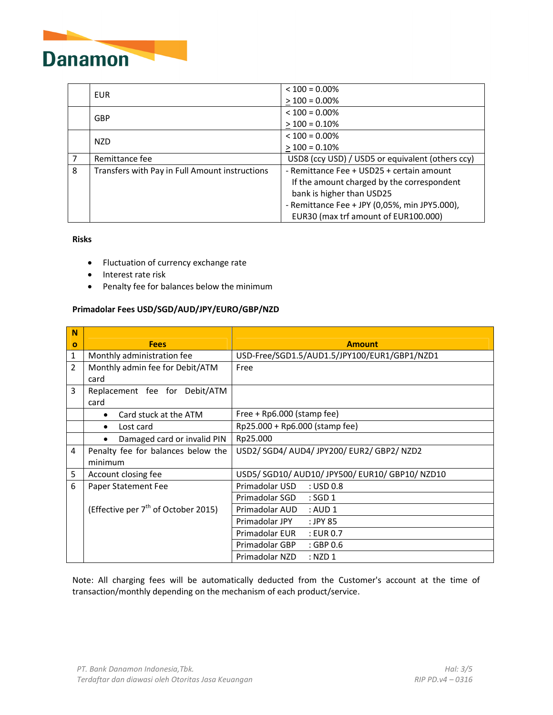

|   |                                                | $<$ 100 = 0.00%                                  |
|---|------------------------------------------------|--------------------------------------------------|
|   | <b>EUR</b>                                     | $>100 = 0.00\%$                                  |
|   | <b>GBP</b>                                     | $< 100 = 0.00\%$                                 |
|   |                                                | $>100 = 0.10\%$                                  |
|   | <b>NZD</b>                                     | $<$ 100 = 0.00%                                  |
|   |                                                | $>100 = 0.10\%$                                  |
| 7 | Remittance fee                                 | USD8 (ccy USD) / USD5 or equivalent (others ccy) |
| 8 | Transfers with Pay in Full Amount instructions | - Remittance Fee + USD25 + certain amount        |
|   |                                                | If the amount charged by the correspondent       |
|   |                                                | bank is higher than USD25                        |
|   |                                                | - Remittance Fee + JPY (0,05%, min JPY5.000),    |
|   |                                                | EUR30 (max trf amount of EUR100.000)             |

### **Risks**

- Fluctuation of currency exchange rate
- Interest rate risk
- Penalty fee for balances below the minimum

# **Primadolar Fees USD/SGD/AUD/JPY/EURO/GBP/NZD**

| N              | <b>Fees</b>                                     |                                                 |
|----------------|-------------------------------------------------|-------------------------------------------------|
| $\mathbf o$    |                                                 | <b>Amount</b>                                   |
| 1              | Monthly administration fee                      | USD-Free/SGD1.5/AUD1.5/JPY100/EUR1/GBP1/NZD1    |
| $\overline{2}$ | Monthly admin fee for Debit/ATM                 | Free                                            |
|                | card                                            |                                                 |
| 3              | Replacement fee for Debit/ATM                   |                                                 |
|                | card                                            |                                                 |
|                | Card stuck at the ATM<br>$\bullet$              | Free + Rp6.000 (stamp fee)                      |
|                | Lost card<br>$\bullet$                          | Rp25.000 + Rp6.000 (stamp fee)                  |
|                | Damaged card or invalid PIN                     | Rp25.000                                        |
| 4              | Penalty fee for balances below the              | USD2/ SGD4/ AUD4/ JPY200/ EUR2/ GBP2/ NZD2      |
|                | minimum                                         |                                                 |
| 5              | Account closing fee                             | USD5/ SGD10/ AUD10/ JPY500/ EUR10/ GBP10/ NZD10 |
| 6              | Paper Statement Fee                             | Primadolar USD<br>$:$ USD 0.8                   |
|                |                                                 | $:$ SGD 1<br>Primadolar SGD                     |
|                | (Effective per 7 <sup>th</sup> of October 2015) | Primadolar AUD<br>: AUD1                        |
|                |                                                 | Primadolar JPY<br>: JPY 85                      |
|                |                                                 | Primadolar EUR<br>: EUR 0.7                     |
|                |                                                 | Primadolar GBP<br>$:$ GBP 0.6                   |
|                |                                                 | Primadolar NZD<br>$:$ NZD 1                     |

Note: All charging fees will be automatically deducted from the Customer's account at the time of transaction/monthly depending on the mechanism of each product/service.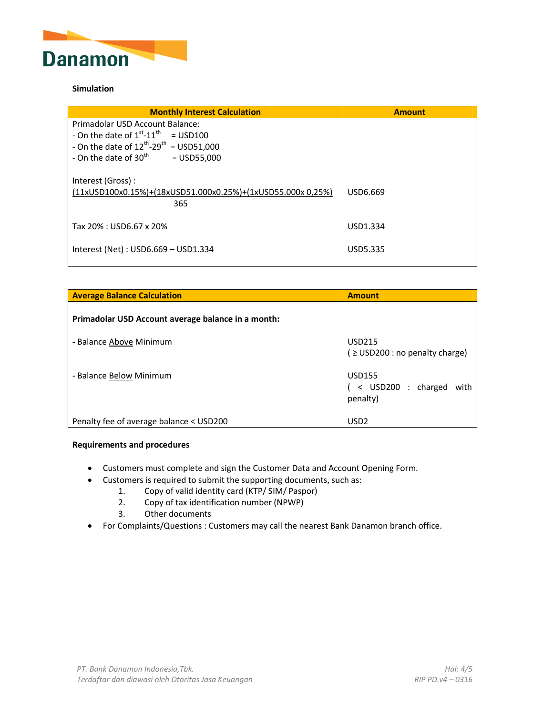

## **Simulation**

| <b>Monthly Interest Calculation</b>                                                    | <b>Amount</b> |
|----------------------------------------------------------------------------------------|---------------|
| Primadolar USD Account Balance:                                                        |               |
| - On the date of $1^{\text{st}}$ -11 <sup>th</sup><br>$=$ USD100                       |               |
| - On the date of $12^{th}$ -29 <sup>th</sup> = USD51,000                               |               |
| - On the date of $30th$<br>$=$ USD55,000                                               |               |
| Interest (Gross):<br>(11xUSD100x0.15%)+(18xUSD51.000x0.25%)+(1xUSD55.000x0,25%)<br>365 | USD6.669      |
| Tax 20% : USD6.67 x 20%                                                                | USD1.334      |
| Interest (Net) : USD6.669 - USD1.334                                                   | USD5.335      |

| <b>Average Balance Calculation</b>                 | <b>Amount</b>                                           |
|----------------------------------------------------|---------------------------------------------------------|
| Primadolar USD Account average balance in a month: |                                                         |
| - Balance Above Minimum                            | <b>USD215</b><br>$\geq$ USD200 : no penalty charge)     |
| - Balance Below Minimum                            | <b>USD155</b><br>< USD200 : charged<br>with<br>penalty) |
| Penalty fee of average balance < USD200            | USD <sub>2</sub>                                        |

## **Requirements and procedures**

- Customers must complete and sign the Customer Data and Account Opening Form.
- Customers is required to submit the supporting documents, such as:
	- 1. Copy of valid identity card (KTP/ SIM/ Paspor)
	- 2. Copy of tax identification number (NPWP)
	- 3. Other documents
- For Complaints/Questions : Customers may call the nearest Bank Danamon branch office.